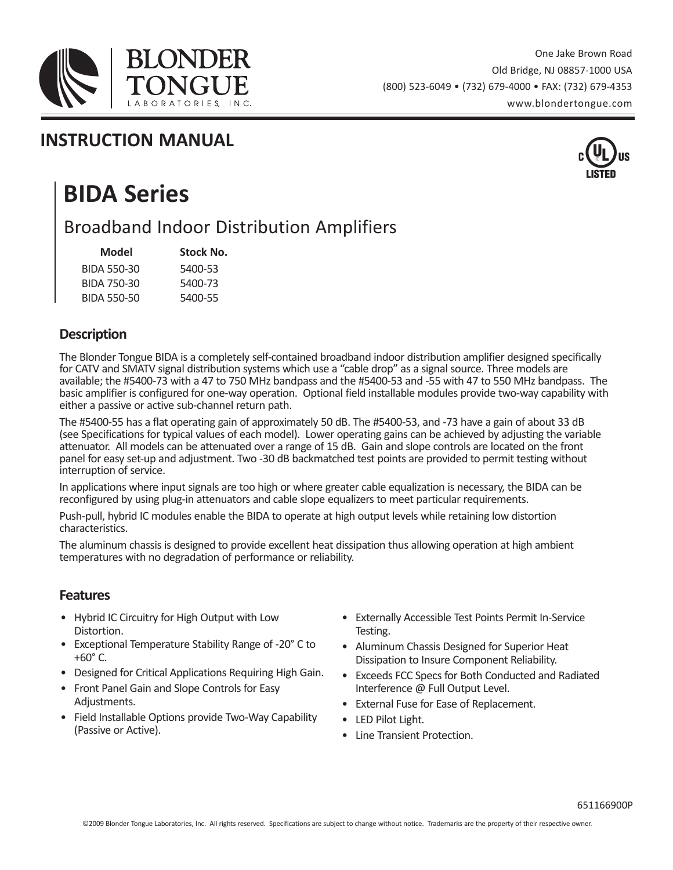

### **INSTRUCTION MANUAL**



## **BIDA Series**

## Broadband Indoor Distribution Amplifiers

| Model       | <b>Stock No.</b> |
|-------------|------------------|
| BIDA 550-30 | 5400-53          |
| BIDA 750-30 | 5400-73          |
| BIDA 550-50 | 5400-55          |

#### **Description**

The Blonder Tongue BIDA is a completely self-contained broadband indoor distribution amplifier designed specifically for CATV and SMATV signal distribution systems which use a "cable drop" as a signal source. Three models are available; the #5400-73 with a 47 to 750 MHz bandpass and the #5400-53 and -55 with 47 to 550 MHz bandpass. The basic amplifier is configured for one-way operation. Optional field installable modules provide two-way capability with either a passive or active sub-channel return path.

The #5400-55 has a flat operating gain of approximately 50 dB. The #5400-53, and -73 have a gain of about 33 dB (see Specifications for typical values of each model). Lower operating gains can be achieved by adjusting the variable attenuator. All models can be attenuated over a range of 15 dB. Gain and slope controls are located on the front panel for easy set-up and adjustment. Two -30 dB backmatched test points are provided to permit testing without interruption of service.

In applications where input signals are too high or where greater cable equalization is necessary, the BIDA can be reconfigured by using plug-in attenuators and cable slope equalizers to meet particular requirements.

Push-pull, hybrid IC modules enable the BIDA to operate at high output levels while retaining low distortion characteristics.

The aluminum chassis is designed to provide excellent heat dissipation thus allowing operation at high ambient temperatures with no degradation of performance or reliability.

#### **Features**

- Hybrid IC Circuitry for High Output with Low Distortion.
- Exceptional Temperature Stability Range of -20° C to +60° C.
- Designed for Critical Applications Requiring High Gain.
- Front Panel Gain and Slope Controls for Easy Adjustments.
- Field Installable Options provide Two-Way Capability (Passive or Active).
- Externally Accessible Test Points Permit In-Service Testing.
- Aluminum Chassis Designed for Superior Heat Dissipation to Insure Component Reliability.
- Exceeds FCC Specs for Both Conducted and Radiated Interference @ Full Output Level.
- External Fuse for Ease of Replacement.
- LED Pilot Light.
- Line Transient Protection.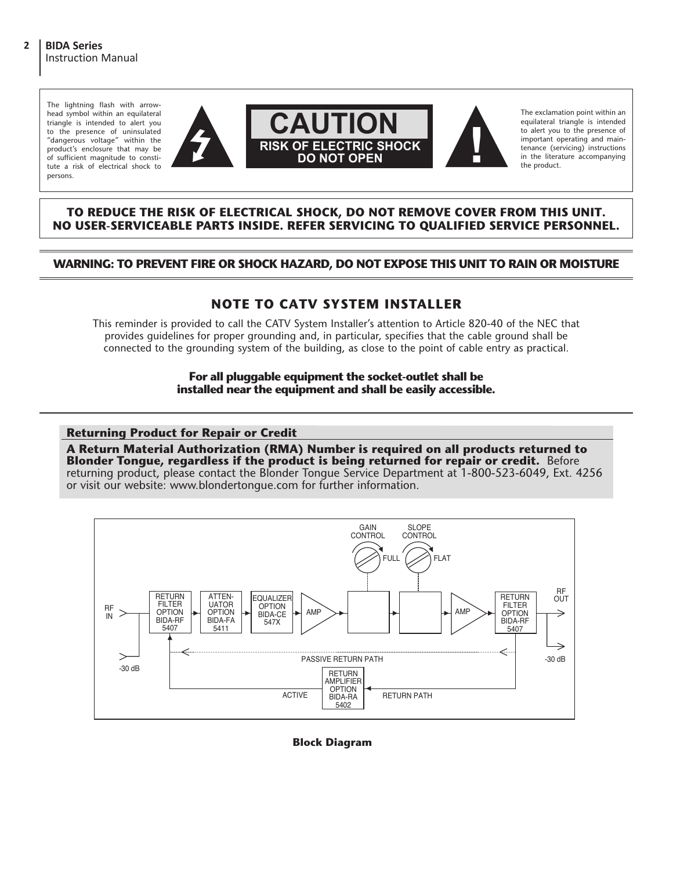The lightning flash with arrowhead symbol within an equilateral triangle is intended to alert you to the presence of uninsulated "dangerous voltage" within the product's enclosure that may be of sufficient magnitude to constitute a risk of electrical shock to persons.



The exclamation point within an equilateral triangle is intended to alert you to the presence of important operating and maintenance (servicing) instructions in the literature accompanying the product.

#### **TO REDUCE THE RISK OF ELECTRICAL SHOCK, DO NOT REMOVE COVER FROM THIS UNIT. NO USER-SERVICEABLE PARTS INSIDE. REFER SERVICING TO QUALIFIED SERVICE PERSONNEL.**

#### **WARNING: TO PREVENT FIRE OR SHOCK HAZARD, DO NOT EXPOSE THIS UNIT TO RAIN OR MOISTURE**

#### **NOTE TO CATV SYSTEM INSTALLER**

This reminder is provided to call the CATV System Installer's attention to Article 820-40 of the NEC that provides guidelines for proper grounding and, in particular, specifies that the cable ground shall be connected to the grounding system of the building, as close to the point of cable entry as practical.

> **For all pluggable equipment the socket-outlet shall be installed near the equipment and shall be easily accessible.**

#### **Returning Product for Repair or Credit**

**A Return Material Authorization (RMA) Number is required on all products returned to Blonder Tongue, regardless if the product is being returned for repair or credit.** Before returning product, please contact the Blonder Tongue Service Department at 1-800-523-6049, Ext. 4256 or visit our website: www.blondertongue.com for further information.



#### **Block Diagram**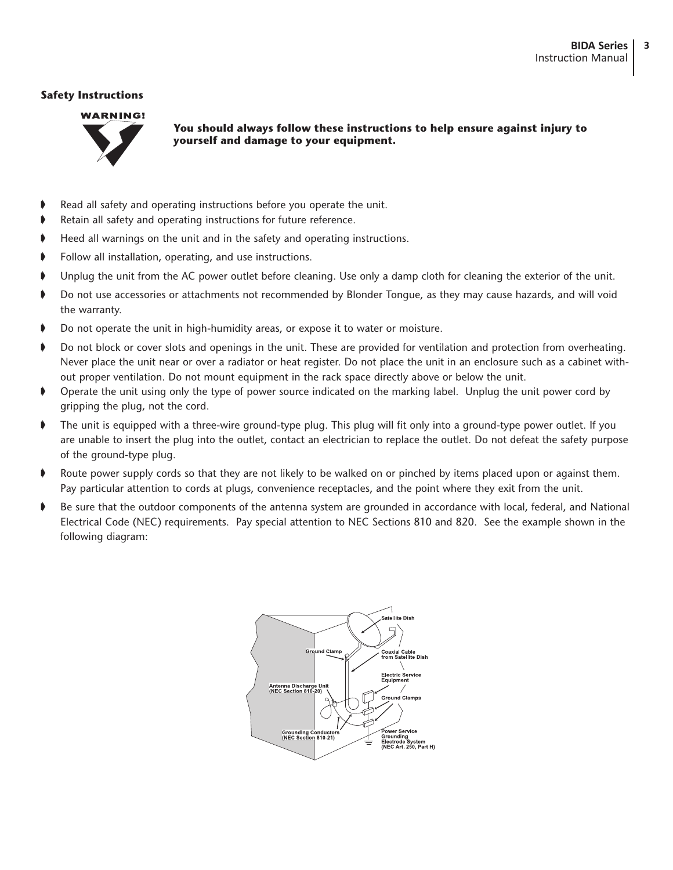#### **Safety Instructions**



**You should always follow these instructions to help ensure against injury to yourself and damage to your equipment.**

- Read all safety and operating instructions before you operate the unit.
- Retain all safety and operating instructions for future reference.
- Heed all warnings on the unit and in the safety and operating instructions.
- Follow all installation, operating, and use instructions.
- Unplug the unit from the AC power outlet before cleaning. Use only a damp cloth for cleaning the exterior of the unit.
- ➧ Do not use accessories or attachments not recommended by Blonder Tongue, as they may cause hazards, and will void the warranty.
- Do not operate the unit in high-humidity areas, or expose it to water or moisture.
- Do not block or cover slots and openings in the unit. These are provided for ventilation and protection from overheating. Never place the unit near or over a radiator or heat register. Do not place the unit in an enclosure such as a cabinet without proper ventilation. Do not mount equipment in the rack space directly above or below the unit.
- ➧ Operate the unit using only the type of power source indicated on the marking label. Unplug the unit power cord by gripping the plug, not the cord.
- ➧ The unit is equipped with a three-wire ground-type plug. This plug will fit only into a ground-type power outlet. If you are unable to insert the plug into the outlet, contact an electrician to replace the outlet. Do not defeat the safety purpose of the ground-type plug.
- ➧ Route power supply cords so that they are not likely to be walked on or pinched by items placed upon or against them. Pay particular attention to cords at plugs, convenience receptacles, and the point where they exit from the unit.
- ➧ Be sure that the outdoor components of the antenna system are grounded in accordance with local, federal, and National Electrical Code (NEC) requirements. Pay special attention to NEC Sections 810 and 820. See the example shown in the following diagram:

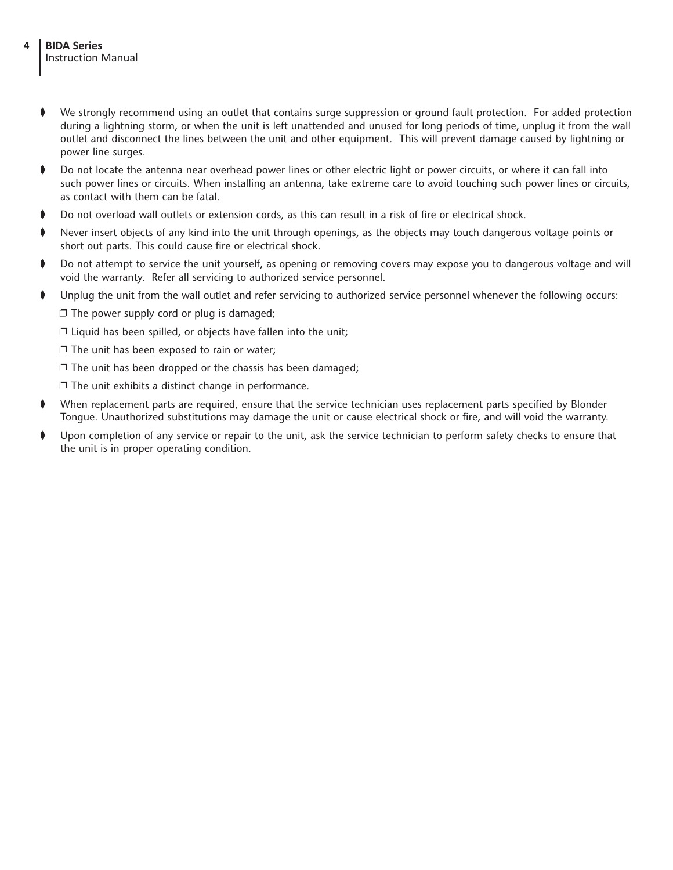- ➧ We strongly recommend using an outlet that contains surge suppression or ground fault protection. For added protection during a lightning storm, or when the unit is left unattended and unused for long periods of time, unplug it from the wall outlet and disconnect the lines between the unit and other equipment. This will prevent damage caused by lightning or power line surges.
- ➧ Do not locate the antenna near overhead power lines or other electric light or power circuits, or where it can fall into such power lines or circuits. When installing an antenna, take extreme care to avoid touching such power lines or circuits, as contact with them can be fatal.
- ➧ Do not overload wall outlets or extension cords, as this can result in a risk of fire or electrical shock.
- ➧ Never insert objects of any kind into the unit through openings, as the objects may touch dangerous voltage points or short out parts. This could cause fire or electrical shock.
- ➧ Do not attempt to service the unit yourself, as opening or removing covers may expose you to dangerous voltage and will void the warranty. Refer all servicing to authorized service personnel.
- ➧ Unplug the unit from the wall outlet and refer servicing to authorized service personnel whenever the following occurs:

□ The power supply cord or plug is damaged;

 $\square$  Liquid has been spilled, or objects have fallen into the unit;

 $\square$  The unit has been exposed to rain or water;

 $\square$  The unit has been dropped or the chassis has been damaged;

❐ The unit exhibits a distinct change in performance.

- ➧ When replacement parts are required, ensure that the service technician uses replacement parts specified by Blonder Tongue. Unauthorized substitutions may damage the unit or cause electrical shock or fire, and will void the warranty.
- ➧ Upon completion of any service or repair to the unit, ask the service technician to perform safety checks to ensure that the unit is in proper operating condition.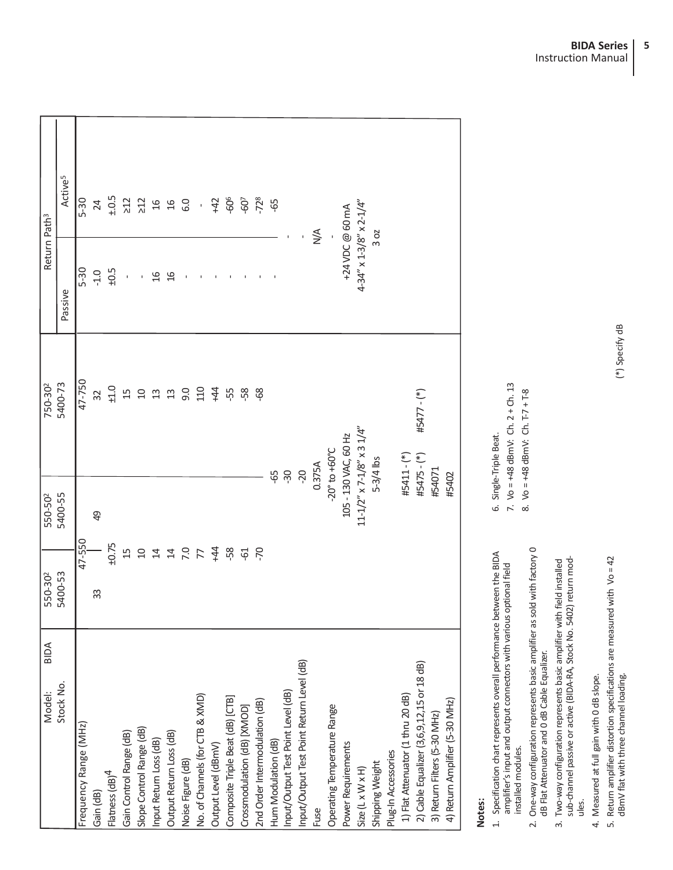| <b>BIDA</b><br>Model:                     | 550-302        | 550-502        | 750-30 <sup>2</sup>                | Return Path <sup>3</sup>                     |                     |
|-------------------------------------------|----------------|----------------|------------------------------------|----------------------------------------------|---------------------|
| Stock No.                                 | 5400-53        | 5400-55        | 5400-73                            | Passive                                      | Active <sup>5</sup> |
| Frequency Range (MHz)                     | 47-550         |                | 47-750                             | $5 - 30$                                     | $5 - 30$            |
| Gain (dB)                                 | 33             | $\overline{6}$ | 32                                 | $-1.0$                                       | 24                  |
| Flatness (dB) <sup>4</sup>                | ±0.75          |                | ±1.0                               | $\pm 0.5$                                    | ±.0.5               |
| Gain Control Range (dB)                   | $\overline{1}$ |                | 15                                 |                                              |                     |
| Slope Control Range (dB)                  | $\Omega$       |                | $\Box$                             |                                              | 33.96               |
| Input Return Loss (dB)                    | $\overline{4}$ |                | $23$                               | $\frac{6}{1}$                                |                     |
| Output Return Loss (dB)                   | $7.0$          |                | 13                                 | $\frac{6}{1}$                                | $\frac{16}{2}$      |
| Noise Figure (dB)                         |                |                | 0.6                                |                                              | G.O                 |
| No. of Channels (for CTB & XMD)           |                |                | 110                                |                                              | $\overline{1}$      |
| Output Level (dBmV)                       | $+44$          |                | $+44$                              |                                              | $+42$               |
| Composite Triple Beat (dB) [CTB]          | $-58$          |                | ĘЯ                                 |                                              | -606                |
| Crossmodulation (dB) [XMOD]               | $-61$          |                | -58                                |                                              | $-60$               |
| 2nd Order Intermodulation (dB)            | -70            |                | -68                                |                                              | $-728$              |
| Hum Modulation (dB)                       |                | 59-            |                                    |                                              | 65                  |
| Input/Output Test Point Level (dB)        |                | $-30$          |                                    |                                              |                     |
| Input/Output Test Point Return Level (dB) |                | $-20$          |                                    |                                              |                     |
| Fuse                                      |                |                | 0.375A                             |                                              | $\frac{4}{2}$       |
| Operating Temperature Range               |                |                | $-20^{\circ}$ to $+60^{\circ}$ C   |                                              |                     |
| Power Requirements                        |                |                | 105 - 130 VAC, 60 Hz               | +24 VDC @ 60 mA                              |                     |
| $Size (L \times W \times H)$              |                |                | $11-1/2''$ x $7-1/8''$ x 3 $1/4''$ | $4 - 34'' \times 1 - 3/8'' \times 2 - 1/4''$ |                     |
| Shipping Weight                           |                |                | $5-3/4$ lbs                        |                                              | 30 <sub>2</sub>     |
| Plug-In Accessories                       |                |                |                                    |                                              |                     |
| 1) Flat Attenuator (1 thru 20 dB)         |                |                | #5411 - (*)                        |                                              |                     |
| 2) Cable Equalizer (3,6,9,12,15 or 18 dB) |                |                | #5477 - (*)<br>#5475 - $(*)$       |                                              |                     |
| 3) Return Filters (5-30 MHz)              |                | #54071         |                                    |                                              |                     |
| 4) Return Amplifier (5-30 MHz)            |                | #5402          |                                    |                                              |                     |
|                                           |                |                |                                    |                                              |                     |

# **Notes:**

1. Specification chart represents overall performance between the BIDA<br>amplifier's input and output connectors with various optional field 1. Specification chart represents overall performance between the BIDA amplifier's input and output connectors with various optional field installed modules. installed modules.

6. Single-Triple Beat.

6. Single-Triple Beat.

7. Vo = +48 dBmV: Ch. 2 + Ch. 13 8. Vo = +48 dBmV: Ch. T-7 + T-8

7. Vo = +48 dBmV: Ch. 2 + Ch. 13<br>8. Vo = +48 dBmV: Ch. T-7 + T-8

- 2. One-way configuration represents basic amplifier as sold with factory 0<br>dB Flat Attenuator and 0 dB Cable Equalizer. 2. One-way configuration represents basic amplifier as sold with factory 0 dB Flat Attenuator and 0 dB Cable Equalizer.
	- 3. Two-way configuration represents basic amplifier with field installed<br>sub-channel passive or active (BIDA-RA, Stock No. 5402) return modsub-channel passive or active (BIDA-RA, Stock No. 5402) return mod-3. Two-way configuration represents basic amplifier with field installed ules.
- 4. Measured at full gain with 0 dB slope. 4. Measured at full gain with 0 dB slope.
- dBmV flat with three channel loading.  $(*)$  Specify dB 5. Return amplifier distortion specifications are measured with  $\sqrt{0} = 42$  dBmV flat with three channel loading. 5. Return amplifier distortion specifications are measured with Vo = 42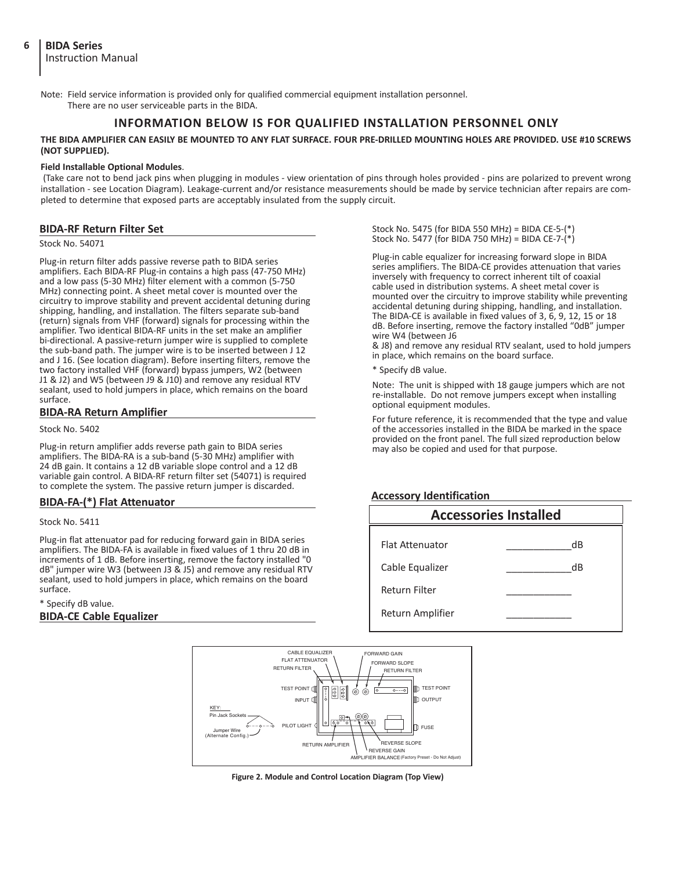Note: Field service information is provided only for qualified commercial equipment installation personnel. There are no user serviceable parts in the BIDA.

#### **INFORMATION BELOW IS FOR QUALIFIED INSTALLATION PERSONNEL ONLY**

**THE BIDA AMPLIFIER CAN EASILY BE MOUNTED TO ANY FLAT SURFACE. FOUR PRE-DRILLED MOUNTING HOLES ARE PROVIDED. USE #10 SCREWS (NOT SUPPLIED).**

#### **Field Installable Optional Modules**.

 (Take care not to bend jack pins when plugging in modules - view orientation of pins through holes provided - pins are polarized to prevent wrong installation - see Location Diagram). Leakage-current and/or resistance measurements should be made by service technician after repairs are completed to determine that exposed parts are acceptably insulated from the supply circuit.

#### **BIDA-RF Return Filter Set**

Stock No. 54071

Plug-in return filter adds passive reverse path to BIDA series amplifiers. Each BIDA-RF Plug-in contains a high pass (47-750 MHz) and a low pass (5-30 MHz) filter element with a common (5-750 MHz) connecting point. A sheet metal cover is mounted over the circuitry to improve stability and prevent accidental detuning during shipping, handling, and installation. The filters separate sub-band (return) signals from VHF (forward) signals for processing within the amplifier. Two identical BIDA-RF units in the set make an amplifier bi-directional. A passive-return jumper wire is supplied to complete the sub-band path. The jumper wire is to be inserted between J 12 and J 16. (See location diagram). Before inserting filters, remove the two factory installed VHF (forward) bypass jumpers, W2 (between J1 & J2) and W5 (between J9 & J10) and remove any residual RTV sealant, used to hold jumpers in place, which remains on the board surface.

#### **BIDA-RA Return Amplifier**

Stock No. 5402

Plug-in return amplifier adds reverse path gain to BIDA series amplifiers. The BIDA-RA is a sub-band (5-30 MHz) amplifier with 24 dB gain. It contains a 12 dB variable slope control and a 12 dB variable gain control. A BIDA-RF return filter set (54071) is required to complete the system. The passive return jumper is discarded.

#### **BIDA-FA-(\*) Flat Attenuator**

Stock No. 5411

Plug-in flat attenuator pad for reducing forward gain in BIDA series amplifiers. The BIDA-FA is available in fixed values of 1 thru 20 dB in increments of 1 dB. Before inserting, remove the factory installed "0 dB" jumper wire W3 (between J3 & J5) and remove any residual RTV sealant, used to hold jumpers in place, which remains on the board surface.

\* Specify dB value. **BIDA-CE Cable Equalizer** Stock No. 5475 (for BIDA 550 MHz) = BIDA CE-5-(\*) Stock No. 5477 (for BIDA 750 MHz) = BIDA CE-7-(\*)

Plug-in cable equalizer for increasing forward slope in BIDA series amplifiers. The BIDA-CE provides attenuation that varies inversely with frequency to correct inherent tilt of coaxial cable used in distribution systems. A sheet metal cover is mounted over the circuitry to improve stability while preventing accidental detuning during shipping, handling, and installation. The BIDA-CE is available in fixed values of 3, 6, 9, 12, 15 or 18 dB. Before inserting, remove the factory installed "0dB" jumper wire W4 (between J6

& J8) and remove any residual RTV sealant, used to hold jumpers in place, which remains on the board surface.

\* Specify dB value.

Note: The unit is shipped with 18 gauge jumpers which are not re-installable. Do not remove jumpers except when installing optional equipment modules.

For future reference, it is recommended that the type and value of the accessories installed in the BIDA be marked in the space provided on the front panel. The full sized reproduction below may also be copied and used for that purpose.

#### **Accessory Identification**





**Figure 2. Module and Control Location Diagram (Top View)**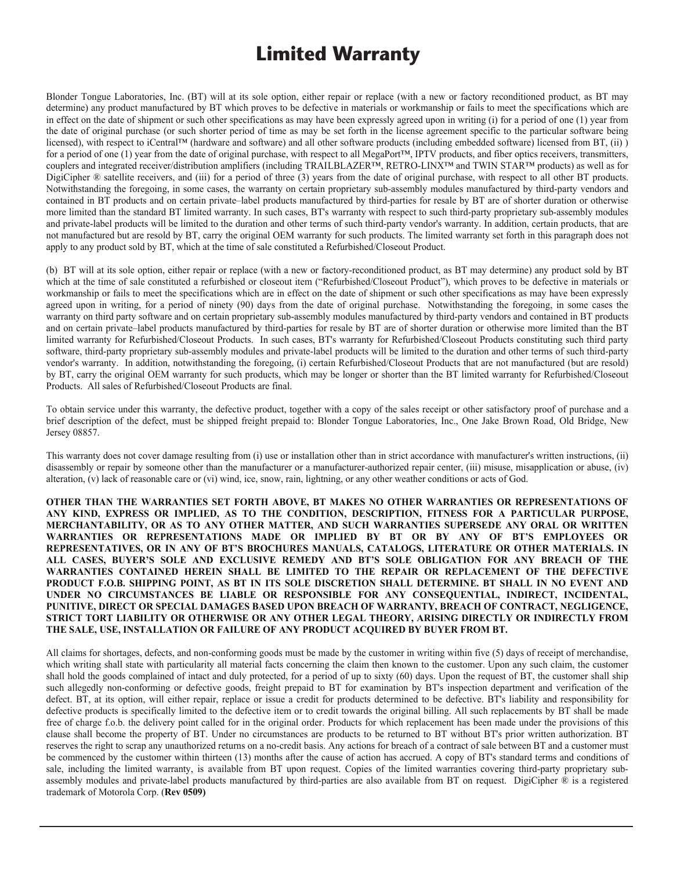## **Limited Warranty**

Blonder Tongue Laboratories, Inc. (BT) will at its sole option, either repair or replace (with a new or factory reconditioned product, as BT may determine) any product manufactured by BT which proves to be defective in materials or workmanship or fails to meet the specifications which are in effect on the date of shipment or such other specifications as may have been expressly agreed upon in writing (i) for a period of one (1) year from the date of original purchase (or such shorter period of time as may be set forth in the license agreement specific to the particular software being licensed), with respect to iCentral<sup>TM</sup> (hardware and software) and all other software products (including embedded software) licensed from BT, (ii)) for a period of one (1) year from the date of original purchase, with respect to all MegaPort<sup>TM</sup>, IPTV products, and fiber optics receivers, transmitters, couplers and integrated receiver/distribution amplifiers (including TRAILBLAZERTM, RETRO-LINXTM and TWIN STARTM products) as well as for DigiCipher ® satellite receivers, and (iii) for a period of three (3) years from the date of original purchase, with respect to all other BT products. Notwithstanding the foregoing, in some cases, the warranty on certain proprietary sub-assembly modules manufactured by third-party vendors and contained in BT products and on certain private–label products manufactured by third-parties for resale by BT are of shorter duration or otherwise more limited than the standard BT limited warranty. In such cases, BT's warranty with respect to such third-party proprietary sub-assembly modules and private-label products will be limited to the duration and other terms of such third-party vendor's warranty. In addition, certain products, that are not manufactured but are resold by BT, carry the original OEM warranty for such undeparty vendor's warranty. In addition, certain products, that are<br>not manufactured but are resold by BT, carry the original OEM warranty fo but manufactured but are resolution by BT, carry the original OEM warranty of such products. The minited warranty set forth in this paragraph does not apply to any product sold by BT, which at the time of sale constituted a Refurbished/Closeout Product.

(b) BT will at its sole option, either repair or replace (with a new or factory-reconditioned product, as BT may determine) any product sold by BT which at the time of sale constituted a refurbished or closeout item ("Refurbished/Closeout Product"), which proves to be defective in materials or workmanship or fails to meet the specifications which are in effect on the date of shipment or such other specifications as may have been expressly agreed upon in writing, for a period of ninety (90) days from the date of original purchase. Notwithstanding the foregoing, in some cases the warranty on third party software and on certain proprietary sub-assembly modules manufactured by third-party vendors and contained in BT products and on certain private–label products manufactured by third-parties for resale by BT are of shorter duration or otherwise more limited than the BT limited warranty for Refurbished/Closeout Products. In such cases, BT's warranty for Refurbished/Closeout Products constituting such third party software, third-party proprietary sub-assembly modules and private-label products will be limited to the duration and other terms of such third-party vendor's warranty. In addition, notwithstanding the foregoing, (i) certain Refurbished/Closeout Products that are not manufactured (but are resold) by BT, carry the original OEM warranty for such products, which may be longer or shorter than the BT limited warranty for Refurbished/Closeout Products. All sales of Refurbished/Closeout Products are final.

brief description of the defect, must be shipped freight prepaid to: Blonder Tongue Laboratories, Inc., One Jake Brown Road, Old Bridge, New<br>Jersey 08857.  $\alpha$  brief description of the defective purchase and a brief description of the defective  $\alpha$ Brown Road, Old Bridge, New Jersey 08857. To obtain service under this warranty, the defective product, together with a copy of the sales receipt or other satisfactory proof of purchase and a

disassembly or repair by someone other than the manufacturer or a manufacturer-authorized repair center, (iii) misuse, misapplication or abuse, (iv) alteration, (v) lack of reasonable care or (vi) wind, ice, snow, rain, lightning, or any other weather conditions or acts of God. centers, (i) mis controlled on or (iv) alter, ice, snow, missionable care abuse, in the community or the color This warranty does not cover damage resulting from (i) use or installation other than in strict accordance with manufacturer's written instructions, (ii)

**OTHER THAN THE WARRANTIES SET FORTH ABOVE, BT MAKES NO OTHER WARRANTIES OR REPRESENTATIONS OF MERCHANTABILITY, OR AS TO ANY OTHER MATTER, AND SUCH WARRANTIES SUPERSEDE ANY ORAL OR WRITTEN** WARRANTIES OR REPRESENTATIONS MADE OR IMPLIED BY BT OR BY ANY OF BT'S EMPLOYEES OR WHITEN<br>PEPPESENTATIVES OR REPRESENTATIONS MADE OR IMPLIED BY BT OR BY ANY OF BT'S EMPLOYEES OR **ALL CASES, BUYER'S SOLE AND EXCLUSIVE REMEDY AND BT'S SOLE OBLIGATION FOR ANY BREACH OF THE EXECUTES, SUPER'S SOLE AND EXCLUSIVE REMEDIT AND BT'S SOLE OBLIGATION FOR ANT BREACH OF THE PHIE PROPERTY OF ANY BREACH OF THE PROPERTY OF ANY BREACH OF THE PROPERTY OF THE DEFECTIVE** WARRAINTES CONTAINED HEREIN SHALL BE LIMITED TO THE REFAIR OR REFLACEMENT OF THE DEFECTIVE<br>PRODUCT F.O.B. SHIPPING POINT, AS BT IN ITS SOLE DISCRETION SHALL DETERMINE. BT SHALL IN NO EVENT AND UNDER NO CIRCUMSTANCES BE LIABLE OR RESPONSIBLE FOR ANY CONSEQUENTIAL, INDIRECT, INCIDENTAL, <br>PUNITUE PIDECT OR SPECIAL PALLAES BASED UPON PREACH OF WARDANTY PREACH OF CONTRACT NEGLIGENCE. PUNITIVE, DIRECT OR SPECIAL DAMAGES BASED UPON BREACH OF WARRANTY, BREACH OF CONTRACT, NEGLIGENCE,<br>CIRCUI DORE LIABU UNI OR OTHERWISE OR ANI OTHER LEGAL THEORY ARITORY OR BELGIU OR PERFONI V. FROM .</u> STRICT TORT LIABILITY OR OTHERWISE OR ANY OTHER LEGAL THEORY, ARISING DIRECTLY OR INDIRECTLY FROM<br>The same interpretative at the same in the station of the second contract is contracted by put the those in the s THE SALE, USE, INSTALLATION OR FAILURE OF ANY PRODUCT ACQUIRED BY BUYER FROM BT. **ANY KIND, EXPRESS OR IMPLIED, AS TO THE CONDITION, DESCRIPTION, FITNESS FOR A PARTICULAR PURPOSE, REPRESENTATIVES, OR IN ANY OF BT'S BROCHURES MANUALS, CATALOGS, LITERATURE OR OTHER MATERIALS. IN** 

**ANY OTHER LEGAL THEORY ARISING DIRECTLY OR INDIRECTLY FROM THE SALE, USE, INSTALLATION OR**  All claims for shortages, defects, and non-conforming goods must be made by the customer in writing within five (5) days of receipt of merchandise, shall hold the goods complained of intact and duly protected, for a period of up to sixty (60) days. Upon the request of BT, the customer shall ship such allegedly non-conforming or defective goods, freight prepaid to BT for examination by BT's inspection department and verification of the defect. BT, at its option, will either repair, replace or issue a credit for products determined to be defective. BT's liability and responsibility for defective products is specifically limited to the defective item or to credit towards the original billing. All such replacements by BT shall be made free of charge f.o.b. the delivery point called for in the original order. Products for which replacement has been made under the provisions of this clause shall become the property of BT. Under no circumstances are products to be returned to BT without BT's prior written authorization. BT reserves the right to scrap any unauthorized returns on a no-credit basis. Any actions for breach of a contract of sale between BT and a customer must be commenced by the customer within thirteen (13) months after the cause of action has accrued. A copy of BT's standard terms and conditions of sale, including the limited warranty, is available from BT upon request. Copies of the limited warranties covering third-party proprietary subassembly modules and private-label products manufactured by third-parties are also available from BT on request. DigiCipher ® is a registered trademark of Motorola Corp. (**Rev 0509**) **and conditions and conditions of action has accrued.** A conditions of sale, including terms and conditions of sale, including terms and conditions of the conditions of the conditio  $t_{\rm max}$  is available from BT upon request. Copies of the limited warranties covering third party proprietary subwhich writing shall state with particularity all material facts concerning the claim then known to the customer. Upon any such claim, the customer free of charge f.o.b. the delivery point called for in the original order. Products for which replacement has been made under the provisions of this clause shall become the property of BT. Under no circumstances are produc

 $\mathcal{D}$  digical corp. The registered trademarks of  $\mathcal{D}$  are registered trademarks of  $\mathcal{D}$